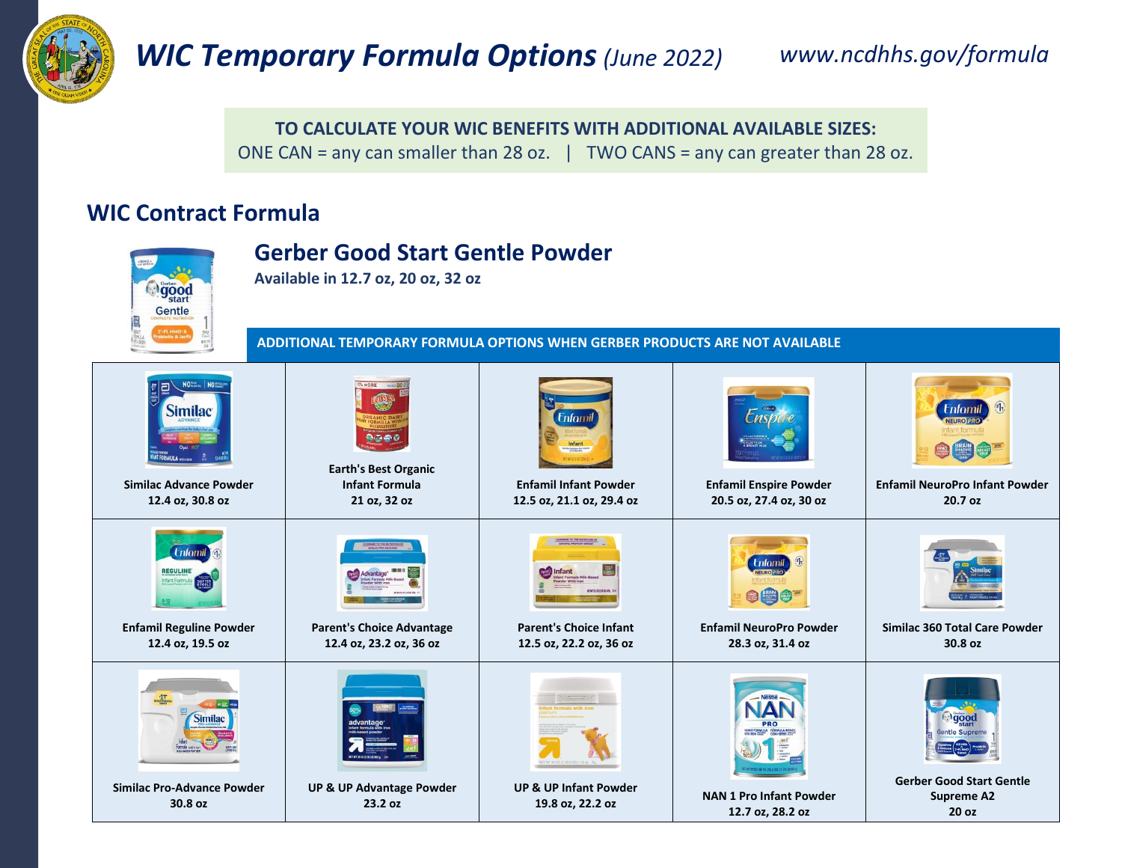

## *WIC Temporary Formula Options(June 2022) www.ncdhhs.gov/formula*

**TO CALCULATE YOUR WIC BENEFITS WITH ADDITIONAL AVAILABLE SIZES:** ONE CAN = any can smaller than 28 oz.  $\parallel$  TWO CANS = any can greater than 28 oz.

### **WIC Contract Formula**

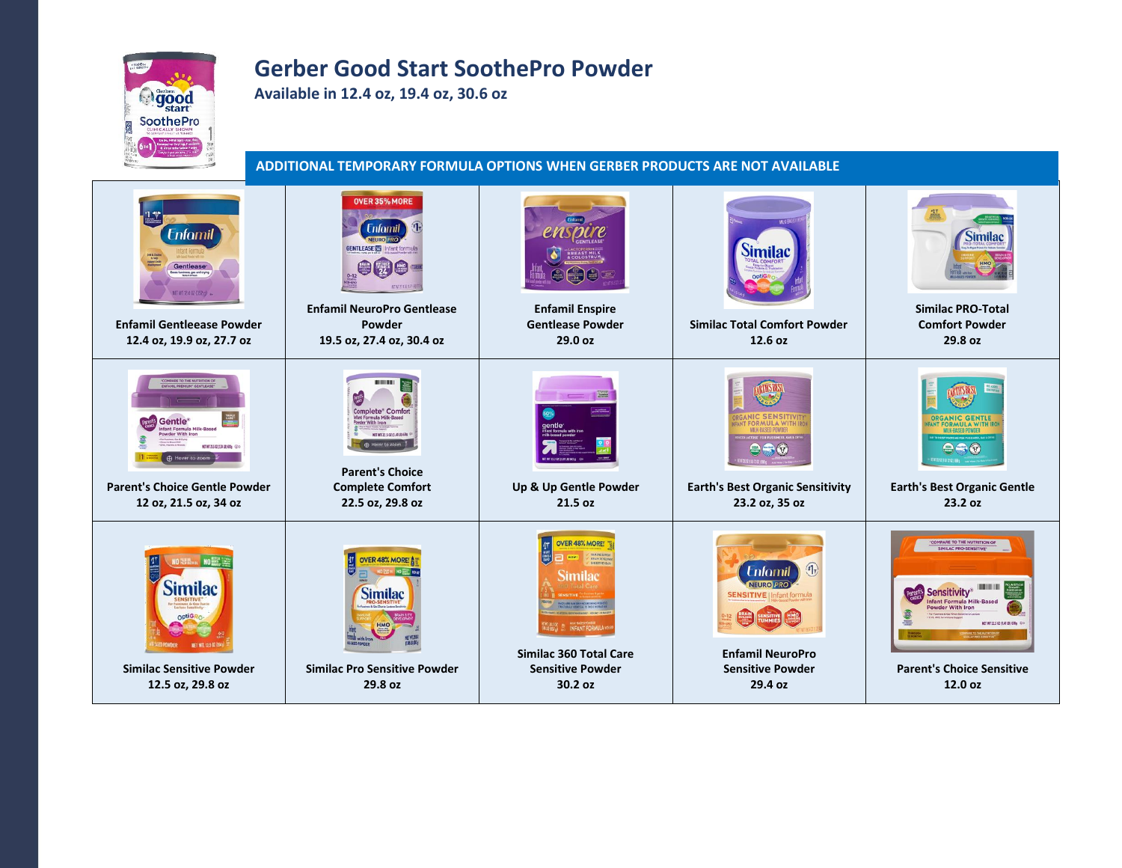# **Ogood** SoothePro

### **Gerber Good Start SoothePro Powder**

**Available in 12.4 oz, 19.4 oz, 30.6 oz**

**ADDITIONAL TEMPORARY FORMULA OPTIONS WHEN GERBER PRODUCTS ARE NOT AVAILABLE**

| <b>Enfamil</b><br><b>Gentlease</b><br>fussiness, gas and crying<br>NET WT 12.4 GZ (352 m)<br><b>Enfamil Gentleease Powder</b><br>12.4 oz, 19.9 oz, 27.7 oz                                          | OVER 35% MORE<br><b>Enfomil</b><br><b>NEURO PRO</b><br><b>GENTLEASE 图 Infant formula</b><br><b>Enfamil NeuroPro Gentlease</b><br>Powder<br>19.5 oz, 27.4 oz, 30.4 oz | <b>Enfamil Enspire</b><br><b>Gentlease Powder</b><br>29.0 oz                                                           | <b>Similac</b><br><b>Similac Total Comfort Powder</b><br>12.6 oz                                                                         | <b>Similac</b><br><b>Similac PRO-Total</b><br><b>Comfort Powder</b><br>29.8 oz                                                                                                                                                       |
|-----------------------------------------------------------------------------------------------------------------------------------------------------------------------------------------------------|----------------------------------------------------------------------------------------------------------------------------------------------------------------------|------------------------------------------------------------------------------------------------------------------------|------------------------------------------------------------------------------------------------------------------------------------------|--------------------------------------------------------------------------------------------------------------------------------------------------------------------------------------------------------------------------------------|
| $\frac{m}{2}$<br>Gentle <sup>®</sup><br>nfant Formula Milk-Based<br>Powder With Iron<br><b>NEWTZSOLOJAUDON</b> @O<br>Hover to zoom<br><b>Parent's Choice Gentle Powder</b><br>12 oz, 21.5 oz, 34 oz | Complete* Comfort<br><b>NET WT 22 S 02 CLASSIFIED 6RM</b><br>A Hover to zoom<br><b>Parent's Choice</b><br><b>Complete Comfort</b><br>22.5 oz, 29.8 oz                | <b>Change</b><br>Up & Up Gentle Powder<br>21.5 oz                                                                      | <b>OPMIII A WITH</b><br><b>Earth's Best Organic Sensitivity</b><br>23.2 oz, 35 oz                                                        | <b>FORMULA WIT</b><br><b>Earth's Best Organic Gentle</b><br>23.2 oz                                                                                                                                                                  |
| Similac<br>MET WT. 125 02 08<br><b>GATIFIC</b><br><b>Similac Sensitive Powder</b><br>12.5 oz, 29.8 oz                                                                                               | <b>OVER 48% MORE! AR</b><br><b>Similac</b><br><b>Similac Pro Sensitive Powder</b><br>29.8 oz                                                                         | <b>OVER 48% MORE</b><br>Similad<br><b>INFANT FORMU</b><br>Similac 360 Total Care<br><b>Sensitive Powder</b><br>30.2 oz | <b>Enfomil</b><br><b>NEURO PRO</b><br><b>SENSITIVE   Infant formula</b><br><b>Enfamil NeuroPro</b><br><b>Sensitive Powder</b><br>29.4 oz | <b>COMPARE TO THE NUTRITION OF</b><br>SIMILAC PRO-SENSITIVE<br>Sensitivity <sup>®</sup><br><b>Ifant Formula Milk-Based</b><br><b>Powder With Iron</b><br>NET WT 22.5 OZ (1.4118) 638g<br><b>Parent's Choice Sensitive</b><br>12.0 oz |